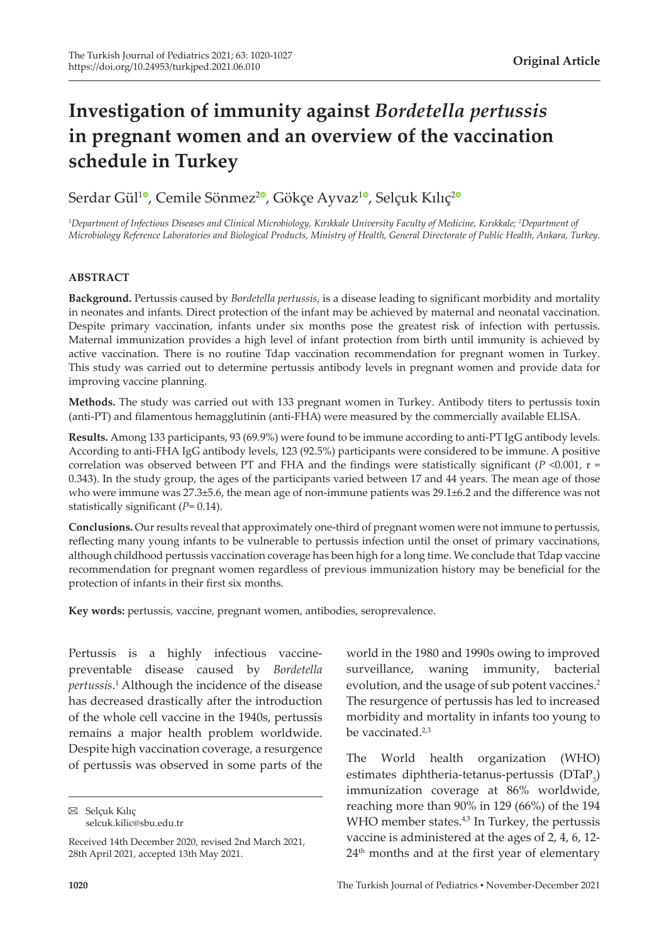# **Investigation of immunity against** *Bordetella pertussis* **in pregnant women and an overview of the vaccination schedule in Turkey**

Serdar Gül<sup>10</sup>[,](https://orcid.org/0000-0003-1426-1298) Cemile Sönmez<sup>[2](https://orcid.org/0000-0002-4993-650X)0</sup>, Gökçe Ayvaz<sup>10</sup>, Selçuk Kılıç<sup>20</sup>

*1 Department of Infectious Diseases and Clinical Microbiology, Kırıkkale University Faculty of Medicine, Kırıkkale; 2 Department of Microbiology Reference Laboratories and Biological Products, Ministry of Health, General Directorate of Public Health, Ankara, Turkey.*

# **ABSTRACT**

**Background.** Pertussis caused by *Bordetella pertussis*, is a disease leading to significant morbidity and mortality in neonates and infants. Direct protection of the infant may be achieved by maternal and neonatal vaccination. Despite primary vaccination, infants under six months pose the greatest risk of infection with pertussis. Maternal immunization provides a high level of infant protection from birth until immunity is achieved by active vaccination. There is no routine Tdap vaccination recommendation for pregnant women in Turkey. This study was carried out to determine pertussis antibody levels in pregnant women and provide data for improving vaccine planning.

**Methods.** The study was carried out with 133 pregnant women in Turkey. Antibody titers to pertussis toxin (anti-PT) and filamentous hemagglutinin (anti-FHA) were measured by the commercially available ELISA.

**Results.** Among 133 participants, 93 (69.9%) were found to be immune according to anti-PT IgG antibody levels. According to anti-FHA IgG antibody levels, 123 (92.5%) participants were considered to be immune. A positive correlation was observed between PT and FHA and the findings were statistically significant  $(P \le 0.001, r =$ 0.343). In the study group, the ages of the participants varied between 17 and 44 years. The mean age of those who were immune was 27.3±5.6, the mean age of non-immune patients was 29.1±6.2 and the difference was not statistically significant (*P*= 0.14).

**Conclusions.** Our results reveal that approximately one-third of pregnant women were not immune to pertussis, reflecting many young infants to be vulnerable to pertussis infection until the onset of primary vaccinations, although childhood pertussis vaccination coverage has been high for a long time. We conclude that Tdap vaccine recommendation for pregnant women regardless of previous immunization history may be beneficial for the protection of infants in their first six months.

**Key words:** pertussis, vaccine, pregnant women, antibodies, seroprevalence.

Pertussis is a highly infectious vaccinepreventable disease caused by *Bordetella pertussis*. 1 Although the incidence of the disease has decreased drastically after the introduction of the whole cell vaccine in the 1940s, pertussis remains a major health problem worldwide. Despite high vaccination coverage, a resurgence of pertussis was observed in some parts of the

Selçuk Kılıç selcuk.kilic@sbu.edu.tr world in the 1980 and 1990s owing to improved surveillance, waning immunity, bacterial evolution, and the usage of sub potent vaccines.<sup>2</sup> The resurgence of pertussis has led to increased morbidity and mortality in infants too young to be vaccinated.2,3

The World health organization (WHO) estimates diphtheria-tetanus-pertussis  $(DTaP_3)$ immunization coverage at 86% worldwide, reaching more than 90% in 129 (66%) of the 194 WHO member states.<sup>4,5</sup> In Turkey, the pertussis vaccine is administered at the ages of 2, 4, 6, 12- 24th months and at the first year of elementary

Received 14th December 2020, revised 2nd March 2021, 28th April 2021, accepted 13th May 2021.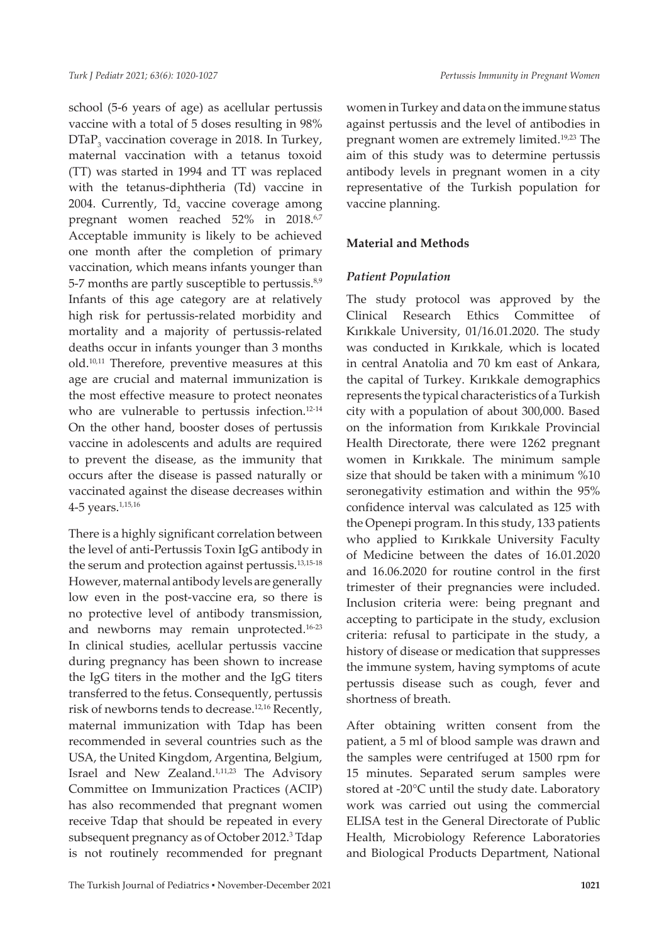school (5-6 years of age) as acellular pertussis vaccine with a total of 5 doses resulting in 98%  $\text{DTaP}_3$  vaccination coverage in 2018. In Turkey, maternal vaccination with a tetanus toxoid (TT) was started in 1994 and TT was replaced with the tetanus-diphtheria (Td) vaccine in 2004. Currently,  $Td_2$  vaccine coverage among pregnant women reached 52% in 2018.<sup>6,7</sup> Acceptable immunity is likely to be achieved one month after the completion of primary vaccination, which means infants younger than 5-7 months are partly susceptible to pertussis.<sup>8,9</sup> Infants of this age category are at relatively high risk for pertussis-related morbidity and mortality and a majority of pertussis-related deaths occur in infants younger than 3 months old.10,11 Therefore, preventive measures at this age are crucial and maternal immunization is the most effective measure to protect neonates who are vulnerable to pertussis infection.<sup>12-14</sup> On the other hand, booster doses of pertussis vaccine in adolescents and adults are required to prevent the disease, as the immunity that occurs after the disease is passed naturally or vaccinated against the disease decreases within 4-5 years.<sup>1,15,16</sup>

There is a highly significant correlation between the level of anti-Pertussis Toxin IgG antibody in the serum and protection against pertussis.13,15-18 However, maternal antibody levels are generally low even in the post-vaccine era, so there is no protective level of antibody transmission, and newborns may remain unprotected.<sup>16-23</sup> In clinical studies, acellular pertussis vaccine during pregnancy has been shown to increase the IgG titers in the mother and the IgG titers transferred to the fetus. Consequently, pertussis risk of newborns tends to decrease.12,16 Recently, maternal immunization with Tdap has been recommended in several countries such as the USA, the United Kingdom, Argentina, Belgium, Israel and New Zealand.<sup>1,11,23</sup> The Advisory Committee on Immunization Practices (ACIP) has also recommended that pregnant women receive Tdap that should be repeated in every subsequent pregnancy as of October 2012.<sup>3</sup> Tdap is not routinely recommended for pregnant

women in Turkey and data on the immune status against pertussis and the level of antibodies in pregnant women are extremely limited.19,23 The aim of this study was to determine pertussis antibody levels in pregnant women in a city representative of the Turkish population for vaccine planning.

## **Material and Methods**

## *Patient Population*

The study protocol was approved by the Clinical Research Ethics Committee of Kırıkkale University, 01/16.01.2020. The study was conducted in Kırıkkale, which is located in central Anatolia and 70 km east of Ankara, the capital of Turkey. Kırıkkale demographics represents the typical characteristics of a Turkish city with a population of about 300,000. Based on the information from Kırıkkale Provincial Health Directorate, there were 1262 pregnant women in Kırıkkale. The minimum sample size that should be taken with a minimum %10 seronegativity estimation and within the 95% confidence interval was calculated as 125 with the Openepi program. In this study, 133 patients who applied to Kırıkkale University Faculty of Medicine between the dates of 16.01.2020 and 16.06.2020 for routine control in the first trimester of their pregnancies were included. Inclusion criteria were: being pregnant and accepting to participate in the study, exclusion criteria: refusal to participate in the study, a history of disease or medication that suppresses the immune system, having symptoms of acute pertussis disease such as cough, fever and shortness of breath.

After obtaining written consent from the patient, a 5 ml of blood sample was drawn and the samples were centrifuged at 1500 rpm for 15 minutes. Separated serum samples were stored at -20°C until the study date. Laboratory work was carried out using the commercial ELISA test in the General Directorate of Public Health, Microbiology Reference Laboratories and Biological Products Department, National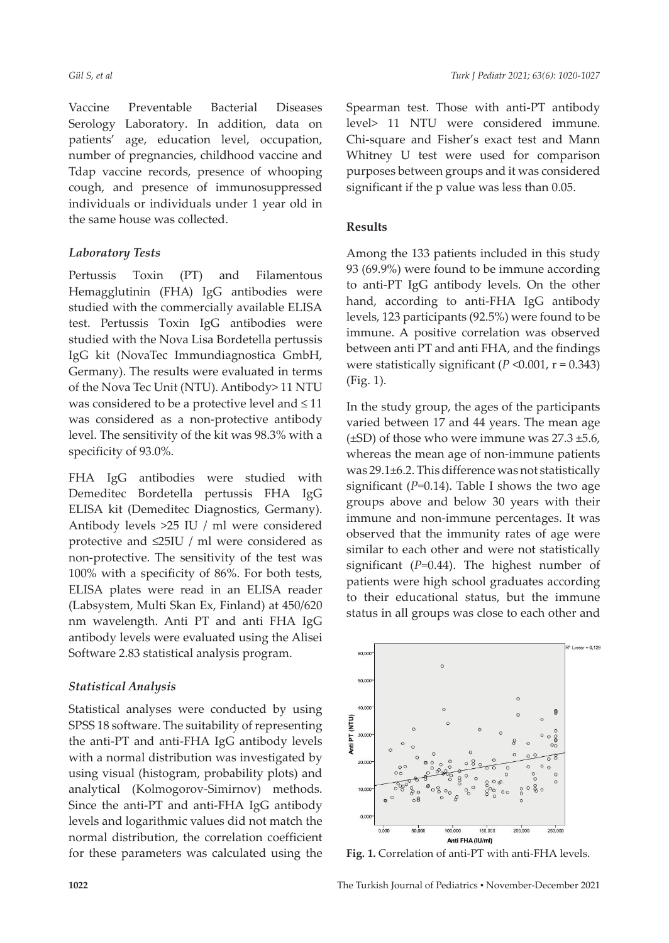Vaccine Preventable Bacterial Diseases Serology Laboratory. In addition, data on patients' age, education level, occupation, number of pregnancies, childhood vaccine and Tdap vaccine records, presence of whooping cough, and presence of immunosuppressed individuals or individuals under 1 year old in the same house was collected.

# *Laboratory Tests*

Pertussis Toxin (PT) and Filamentous Hemagglutinin (FHA) IgG antibodies were studied with the commercially available ELISA test. Pertussis Toxin IgG antibodies were studied with the Nova Lisa Bordetella pertussis IgG kit (NovaTec Immundiagnostica GmbH, Germany). The results were evaluated in terms of the Nova Tec Unit (NTU). Antibody> 11 NTU was considered to be a protective level and ≤ 11 was considered as a non-protective antibody level. The sensitivity of the kit was 98.3% with a specificity of 93.0%.

FHA IgG antibodies were studied with Demeditec Bordetella pertussis FHA IgG ELISA kit (Demeditec Diagnostics, Germany). Antibody levels >25 IU / ml were considered protective and ≤25IU / ml were considered as non-protective. The sensitivity of the test was 100% with a specificity of 86%. For both tests, ELISA plates were read in an ELISA reader (Labsystem, Multi Skan Ex, Finland) at 450/620 nm wavelength. Anti PT and anti FHA IgG antibody levels were evaluated using the Alisei Software 2.83 statistical analysis program.

# *Statistical Analysis*

Statistical analyses were conducted by using SPSS 18 software. The suitability of representing the anti-PT and anti-FHA IgG antibody levels with a normal distribution was investigated by using visual (histogram, probability plots) and analytical (Kolmogorov-Simirnov) methods. Since the anti-PT and anti-FHA IgG antibody levels and logarithmic values did not match the normal distribution, the correlation coefficient for these parameters was calculated using the Spearman test. Those with anti-PT antibody level> 11 NTU were considered immune. Chi-square and Fisher's exact test and Mann Whitney U test were used for comparison purposes between groups and it was considered significant if the p value was less than 0.05.

# **Results**

Among the 133 patients included in this study 93 (69.9%) were found to be immune according to anti-PT IgG antibody levels. On the other hand, according to anti-FHA IgG antibody levels, 123 participants (92.5%) were found to be immune. A positive correlation was observed between anti PT and anti FHA, and the findings were statistically significant ( $P \le 0.001$ ,  $r = 0.343$ ) (Fig. 1).

In the study group, the ages of the participants varied between 17 and 44 years. The mean age  $(\pm SD)$  of those who were immune was 27.3  $\pm$ 5.6, whereas the mean age of non-immune patients was 29.1±6.2. This difference was not statistically significant  $(P=0.14)$ . Table I shows the two age groups above and below 30 years with their immune and non-immune percentages. It was observed that the immunity rates of age were similar to each other and were not statistically significant (*P*=0.44). The highest number of patients were high school graduates according to their educational status, but the immune status in all groups was close to each other and



**Fig. 1.** Correlation of anti-PT with anti-FHA levels.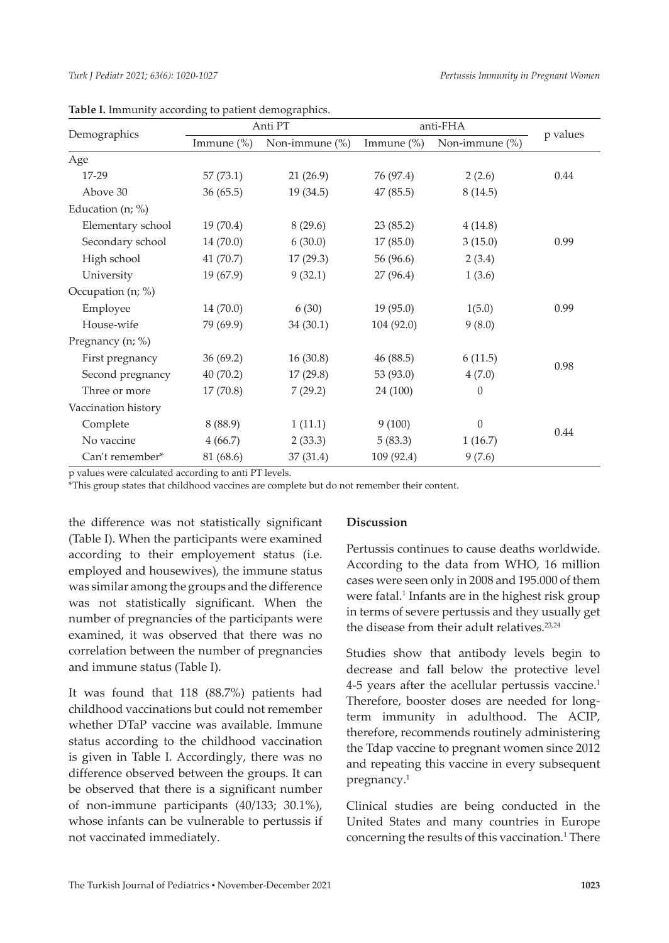| Demographics        | Anti PT       |                | anti-FHA      |                |          |
|---------------------|---------------|----------------|---------------|----------------|----------|
|                     | Immune $(\%)$ | Non-immune (%) | Immune $(\%)$ | Non-immune (%) | p values |
| Age                 |               |                |               |                |          |
| 17-29               | 57(73.1)      | 21(26.9)       | 76 (97.4)     | 2(2.6)         | 0.44     |
| Above 30            | 36(65.5)      | 19 (34.5)      | 47 (85.5)     | 8(14.5)        |          |
| Education (n; %)    |               |                |               |                |          |
| Elementary school   | 19(70.4)      | 8(29.6)        | 23(85.2)      | 4(14.8)        |          |
| Secondary school    | 14 (70.0)     | 6(30.0)        | 17(85.0)      | 3(15.0)        | 0.99     |
| High school         | 41 (70.7)     | 17(29.3)       | 56 (96.6)     | 2(3.4)         |          |
| University          | 19(67.9)      | 9(32.1)        | 27 (96.4)     | 1(3.6)         |          |
| Occupation (n; %)   |               |                |               |                |          |
| Employee            | 14(70.0)      | 6(30)          | 19(95.0)      | 1(5.0)         | 0.99     |
| House-wife          | 79 (69.9)     | 34(30.1)       | 104(92.0)     | 9(8.0)         |          |
| Pregnancy (n; %)    |               |                |               |                |          |
| First pregnancy     | 36(69.2)      | 16(30.8)       | 46 (88.5)     | 6(11.5)        | 0.98     |
| Second pregnancy    | 40 (70.2)     | 17(29.8)       | 53 (93.0)     | 4(7.0)         |          |
| Three or more       | 17(70.8)      | 7(29.2)        | 24 (100)      | $\theta$       |          |
| Vaccination history |               |                |               |                |          |
| Complete            | 8(88.9)       | 1(11.1)        | 9(100)        | $\theta$       | 0.44     |
| No vaccine          | 4(66.7)       | 2(33.3)        | 5(83.3)       | 1(16.7)        |          |
| Can't remember*     | 81 (68.6)     | 37(31.4)       | 109 (92.4)    | 9(7.6)         |          |

**Table I.** Immunity according to patient demographics.

p values were calculated according to anti PT levels.

\*This group states that childhood vaccines are complete but do not remember their content.

the difference was not statistically significant (Table I). When the participants were examined according to their employement status (i.e. employed and housewives), the immune status was similar among the groups and the difference was not statistically significant. When the number of pregnancies of the participants were examined, it was observed that there was no correlation between the number of pregnancies and immune status (Table I).

It was found that 118 (88.7%) patients had childhood vaccinations but could not remember whether DTaP vaccine was available. Immune status according to the childhood vaccination is given in Table I. Accordingly, there was no difference observed between the groups. It can be observed that there is a significant number of non-immune participants (40/133; 30.1%), whose infants can be vulnerable to pertussis if not vaccinated immediately.

#### **Discussion**

Pertussis continues to cause deaths worldwide. According to the data from WHO, 16 million cases were seen only in 2008 and 195.000 of them were fatal.<sup>1</sup> Infants are in the highest risk group in terms of severe pertussis and they usually get the disease from their adult relatives. $23,24$ 

Studies show that antibody levels begin to decrease and fall below the protective level 4-5 years after the acellular pertussis vaccine.<sup>1</sup> Therefore, booster doses are needed for longterm immunity in adulthood. The ACIP, therefore, recommends routinely administering the Tdap vaccine to pregnant women since 2012 and repeating this vaccine in every subsequent pregnancy.<sup>1</sup>

Clinical studies are being conducted in the United States and many countries in Europe concerning the results of this vaccination.<sup>1</sup> There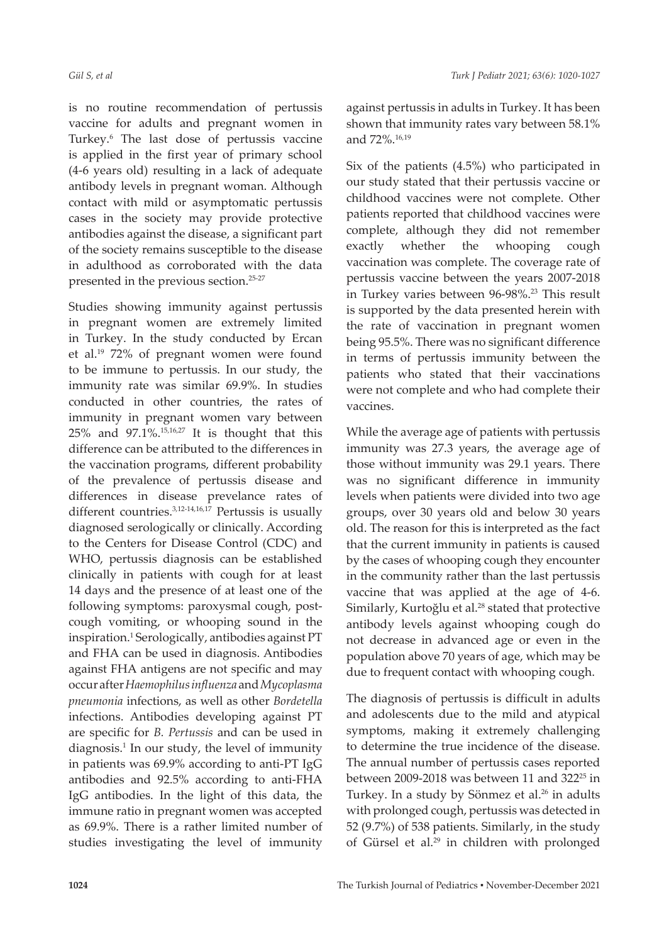is no routine recommendation of pertussis vaccine for adults and pregnant women in Turkey.6 The last dose of pertussis vaccine is applied in the first year of primary school (4-6 years old) resulting in a lack of adequate antibody levels in pregnant woman. Although contact with mild or asymptomatic pertussis cases in the society may provide protective antibodies against the disease, a significant part of the society remains susceptible to the disease in adulthood as corroborated with the data presented in the previous section.25-27

Studies showing immunity against pertussis in pregnant women are extremely limited in Turkey. In the study conducted by Ercan et al.19 72% of pregnant women were found to be immune to pertussis. In our study, the immunity rate was similar 69.9%. In studies conducted in other countries, the rates of immunity in pregnant women vary between 25% and 97.1%.15,16,27 It is thought that this difference can be attributed to the differences in the vaccination programs, different probability of the prevalence of pertussis disease and differences in disease prevelance rates of different countries.3,12-14,16,17 Pertussis is usually diagnosed serologically or clinically. According to the Centers for Disease Control (CDC) and WHO, pertussis diagnosis can be established clinically in patients with cough for at least 14 days and the presence of at least one of the following symptoms: paroxysmal cough, postcough vomiting, or whooping sound in the inspiration.<sup>1</sup> Serologically, antibodies against PT and FHA can be used in diagnosis. Antibodies against FHA antigens are not specific and may occur after *Haemophilus influenza* and *Mycoplasma pneumonia* infections, as well as other *Bordetella* infections. Antibodies developing against PT are specific for *B. Pertussis* and can be used in diagnosis.<sup>1</sup> In our study, the level of immunity in patients was 69.9% according to anti-PT IgG antibodies and 92.5% according to anti-FHA IgG antibodies. In the light of this data, the immune ratio in pregnant women was accepted as 69.9%. There is a rather limited number of studies investigating the level of immunity

against pertussis in adults in Turkey. It has been shown that immunity rates vary between 58.1% and 72%.16,19

Six of the patients (4.5%) who participated in our study stated that their pertussis vaccine or childhood vaccines were not complete. Other patients reported that childhood vaccines were complete, although they did not remember exactly whether the whooping cough vaccination was complete. The coverage rate of pertussis vaccine between the years 2007-2018 in Turkey varies between 96-98%.<sup>23</sup> This result is supported by the data presented herein with the rate of vaccination in pregnant women being 95.5%. There was no significant difference in terms of pertussis immunity between the patients who stated that their vaccinations were not complete and who had complete their vaccines.

While the average age of patients with pertussis immunity was 27.3 years, the average age of those without immunity was 29.1 years. There was no significant difference in immunity levels when patients were divided into two age groups, over 30 years old and below 30 years old. The reason for this is interpreted as the fact that the current immunity in patients is caused by the cases of whooping cough they encounter in the community rather than the last pertussis vaccine that was applied at the age of 4-6. Similarly, Kurtoğlu et al.<sup>28</sup> stated that protective antibody levels against whooping cough do not decrease in advanced age or even in the population above 70 years of age, which may be due to frequent contact with whooping cough.

The diagnosis of pertussis is difficult in adults and adolescents due to the mild and atypical symptoms, making it extremely challenging to determine the true incidence of the disease. The annual number of pertussis cases reported between 2009-2018 was between 11 and 322 $25$  in Turkey. In a study by Sönmez et al.<sup>26</sup> in adults with prolonged cough, pertussis was detected in 52 (9.7%) of 538 patients. Similarly, in the study of Gürsel et al.<sup>29</sup> in children with prolonged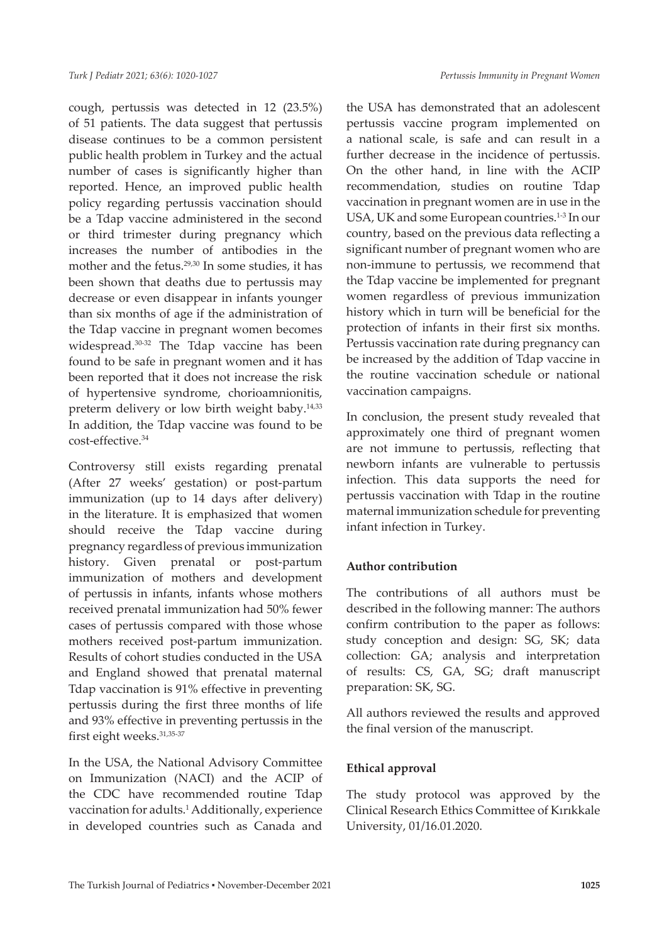cough, pertussis was detected in 12 (23.5%) of 51 patients. The data suggest that pertussis disease continues to be a common persistent public health problem in Turkey and the actual number of cases is significantly higher than reported. Hence, an improved public health policy regarding pertussis vaccination should be a Tdap vaccine administered in the second or third trimester during pregnancy which increases the number of antibodies in the mother and the fetus.<sup>29,30</sup> In some studies, it has been shown that deaths due to pertussis may decrease or even disappear in infants younger than six months of age if the administration of the Tdap vaccine in pregnant women becomes widespread.<sup>30-32</sup> The Tdap vaccine has been found to be safe in pregnant women and it has been reported that it does not increase the risk of hypertensive syndrome, chorioamnionitis, preterm delivery or low birth weight baby.<sup>14,33</sup> In addition, the Tdap vaccine was found to be cost-effective.34

Controversy still exists regarding prenatal (After 27 weeks' gestation) or post-partum immunization (up to 14 days after delivery) in the literature. It is emphasized that women should receive the Tdap vaccine during pregnancy regardless of previous immunization history. Given prenatal or post-partum immunization of mothers and development of pertussis in infants, infants whose mothers received prenatal immunization had 50% fewer cases of pertussis compared with those whose mothers received post-partum immunization. Results of cohort studies conducted in the USA and England showed that prenatal maternal Tdap vaccination is 91% effective in preventing pertussis during the first three months of life and 93% effective in preventing pertussis in the first eight weeks. 31,35-37

In the USA, the National Advisory Committee on Immunization (NACI) and the ACIP of the CDC have recommended routine Tdap vaccination for adults.<sup>1</sup> Additionally, experience in developed countries such as Canada and

the USA has demonstrated that an adolescent pertussis vaccine program implemented on a national scale, is safe and can result in a further decrease in the incidence of pertussis. On the other hand, in line with the ACIP recommendation, studies on routine Tdap vaccination in pregnant women are in use in the USA, UK and some European countries.<sup>1-3</sup> In our country, based on the previous data reflecting a significant number of pregnant women who are non-immune to pertussis, we recommend that the Tdap vaccine be implemented for pregnant women regardless of previous immunization history which in turn will be beneficial for the protection of infants in their first six months. Pertussis vaccination rate during pregnancy can be increased by the addition of Tdap vaccine in the routine vaccination schedule or national vaccination campaigns.

In conclusion, the present study revealed that approximately one third of pregnant women are not immune to pertussis, reflecting that newborn infants are vulnerable to pertussis infection. This data supports the need for pertussis vaccination with Tdap in the routine maternal immunization schedule for preventing infant infection in Turkey.

## **Author contribution**

The contributions of all authors must be described in the following manner: The authors confirm contribution to the paper as follows: study conception and design: SG, SK; data collection: GA; analysis and interpretation of results: CS, GA, SG; draft manuscript preparation: SK, SG.

All authors reviewed the results and approved the final version of the manuscript.

## **Ethical approval**

The study protocol was approved by the Clinical Research Ethics Committee of Kırıkkale University, 01/16.01.2020.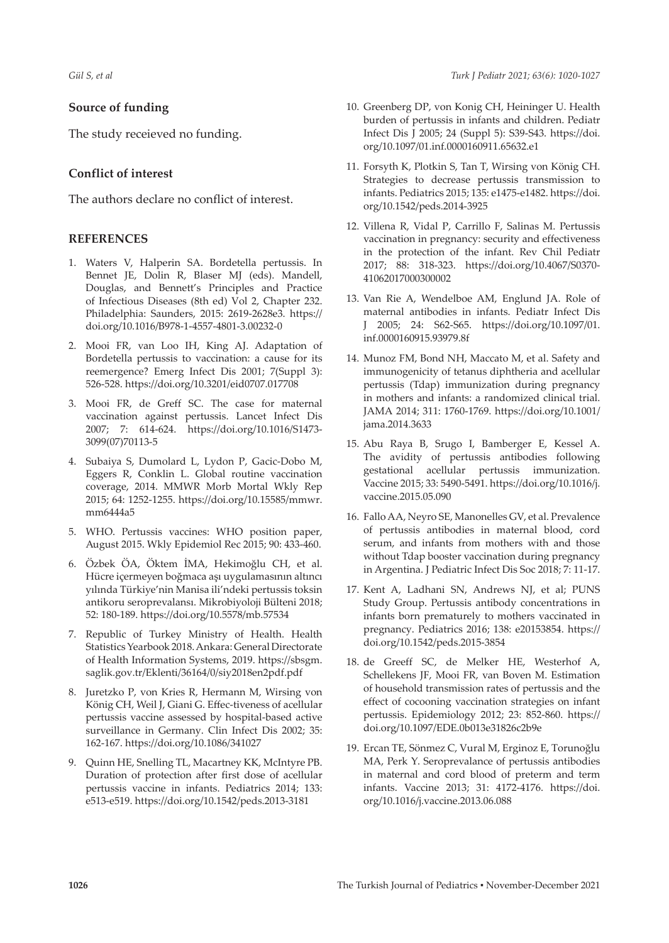#### **Source of funding**

The study receieved no funding.

### **Conflict of interest**

The authors declare no conflict of interest.

#### **REFERENCES**

- 1. Waters V, Halperin SA. Bordetella pertussis. In Bennet JE, Dolin R, Blaser MJ (eds). Mandell, Douglas, and Bennett's Principles and Practice of Infectious Diseases (8th ed) Vol 2, Chapter 232. Philadelphia: Saunders, 2015: 2619-2628e3. [https://](https://doi.org/10.1016/B978-1-4557-4801-3.00232-0) [doi.org/10.1016/B978-1-4557-4801-3.00232-0](https://doi.org/10.1016/B978-1-4557-4801-3.00232-0)
- 2. Mooi FR, van Loo IH, King AJ. Adaptation of Bordetella pertussis to vaccination: a cause for its reemergence? Emerg Infect Dis 2001; 7(Suppl 3): 526-528.<https://doi.org/10.3201/eid0707.017708>
- 3. Mooi FR, de Greff SC. The case for maternal vaccination against pertussis. Lancet Infect Dis 2007; 7: 614-624. [https://doi.org/10.1016/S1473-](https://doi.org/10.1016/S1473-3099(07)70113-5) [3099\(07\)70113-5](https://doi.org/10.1016/S1473-3099(07)70113-5)
- 4. Subaiya S, Dumolard L, Lydon P, Gacic-Dobo M, Eggers R, Conklin L. Global routine vaccination coverage, 2014. MMWR Morb Mortal Wkly Rep 2015; 64: 1252-1255. [https://doi.org/10.15585/mmwr.](https://doi.org/10.15585/mmwr.mm6444a5) [mm6444a5](https://doi.org/10.15585/mmwr.mm6444a5)
- 5. WHO. Pertussis vaccines: WHO position paper, August 2015. Wkly Epidemiol Rec 2015; 90: 433-460.
- 6. Özbek ÖA, Öktem İMA, Hekimoğlu CH, et al. Hücre içermeyen boğmaca aşı uygulamasının altıncı yılında Türkiye'nin Manisa ili'ndeki pertussis toksin antikoru seroprevalansı. Mikrobiyoloji Bülteni 2018; 52: 180-189.<https://doi.org/10.5578/mb.57534>
- 7. Republic of Turkey Ministry of Health. Health Statistics Yearbook 2018. Ankara: General Directorate of Health Information Systems, 2019. [https://sbsgm.](https://sbsgm.saglik.gov.tr/Eklenti/36164/0/siy2018en2pdf.pdf) [saglik.gov.tr/Eklenti/36164/0/siy2018en2pdf.pdf](https://sbsgm.saglik.gov.tr/Eklenti/36164/0/siy2018en2pdf.pdf)
- 8. Juretzko P, von Kries R, Hermann M, Wirsing von König CH, Weil J, Giani G. Effec-tiveness of acellular pertussis vaccine assessed by hospital-based active surveillance in Germany. Clin Infect Dis 2002; 35: 162-167.<https://doi.org/10.1086/341027>
- 9. Quinn HE, Snelling TL, Macartney KK, McIntyre PB. Duration of protection after first dose of acellular pertussis vaccine in infants. Pediatrics 2014; 133: e513-e519. <https://doi.org/10.1542/peds.2013-3181>
- 10. Greenberg DP, von Konig CH, Heininger U. Health burden of pertussis in infants and children. Pediatr Infect Dis J 2005; 24 (Suppl 5): S39-S43. [https://doi.](https://doi.org/10.1097/01.inf.0000160911.65632.e1) [org/10.1097/01.inf.0000160911.65632.e1](https://doi.org/10.1097/01.inf.0000160911.65632.e1)
- 11. Forsyth K, Plotkin S, Tan T, Wirsing von König CH. Strategies to decrease pertussis transmission to infants. Pediatrics 2015; 135: e1475-e1482. [https://doi.](https://doi.org/10.1542/peds.2014-3925) [org/10.1542/peds.2014-3925](https://doi.org/10.1542/peds.2014-3925)
- 12. Villena R, Vidal P, Carrillo F, Salinas M. Pertussis vaccination in pregnancy: security and effectiveness in the protection of the infant. Rev Chil Pediatr 2017; 88: 318-323. [https://doi.org/10.4067/S0370-](https://doi.org/10.4067/S0370-41062017000300002) [41062017000300002](https://doi.org/10.4067/S0370-41062017000300002)
- 13. Van Rie A, Wendelboe AM, Englund JA. Role of maternal antibodies in infants. Pediatr Infect Dis J 2005; 24: S62-S65. [https://doi.org/10.1097/01.](https://doi.org/10.1097/01.inf.0000160915.93979.8f) [inf.0000160915.93979.8f](https://doi.org/10.1097/01.inf.0000160915.93979.8f)
- 14. Munoz FM, Bond NH, Maccato M, et al. Safety and immunogenicity of tetanus diphtheria and acellular pertussis (Tdap) immunization during pregnancy in mothers and infants: a randomized clinical trial. JAMA 2014; 311: 1760-1769. [https://doi.org/10.1001/](https://doi.org/10.1001/jama.2014.3633) [jama.2014.3633](https://doi.org/10.1001/jama.2014.3633)
- 15. Abu Raya B, Srugo I, Bamberger E, Kessel A. The avidity of pertussis antibodies following gestational acellular pertussis immunization. Vaccine 2015; 33: 5490-5491. [https://doi.org/10.1016/j.](https://doi.org/10.1016/j.vaccine.2015.05.090) [vaccine.2015.05.090](https://doi.org/10.1016/j.vaccine.2015.05.090)
- 16. Fallo AA, Neyro SE, Manonelles GV, et al. Prevalence of pertussis antibodies in maternal blood, cord serum, and infants from mothers with and those without Tdap booster vaccination during pregnancy in Argentina. J Pediatric Infect Dis Soc 2018; 7: 11-17.
- 17. Kent A, Ladhani SN, Andrews NJ, et al; PUNS Study Group. Pertussis antibody concentrations in infants born prematurely to mothers vaccinated in pregnancy. Pediatrics 2016; 138: e20153854. [https://](https://doi.org/10.1542/peds.2015-3854) [doi.org/10.1542/peds.2015-3854](https://doi.org/10.1542/peds.2015-3854)
- 18. de Greeff SC, de Melker HE, Westerhof A, Schellekens JF, Mooi FR, van Boven M. Estimation of household transmission rates of pertussis and the effect of cocooning vaccination strategies on infant pertussis. Epidemiology 2012; 23: 852-860. [https://](https://doi.org/10.1097/EDE.0b013e31826c2b9e) [doi.org/10.1097/EDE.0b013e31826c2b9e](https://doi.org/10.1097/EDE.0b013e31826c2b9e)
- 19. Ercan TE, Sönmez C, Vural M, Erginoz E, Torunoğlu MA, Perk Y. Seroprevalance of pertussis antibodies in maternal and cord blood of preterm and term infants. Vaccine 2013; 31: 4172-4176. [https://doi.](https://doi.org/10.1016/j.vaccine.2013.06.088) [org/10.1016/j.vaccine.2013.06.088](https://doi.org/10.1016/j.vaccine.2013.06.088)